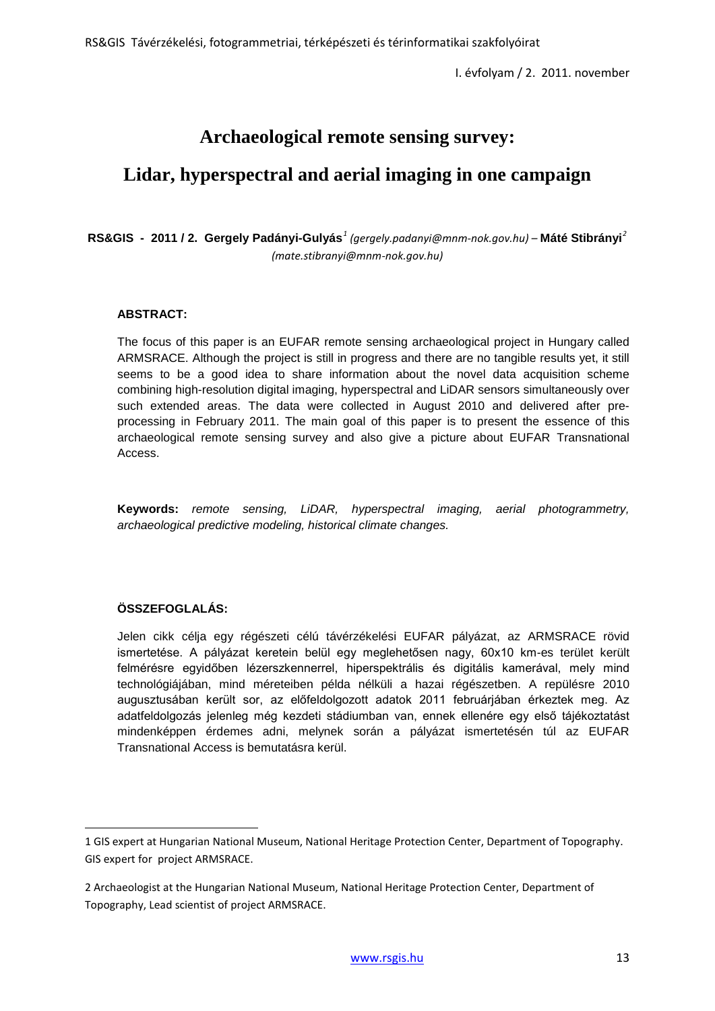# **Archaeological remote sensing survey:**

# **Lidar, hyperspectral and aerial imaging in one campaign**

## **RS&GIS - 2011 / 2. Gergely Padányi-Gulyás***[1](#page--1-0) (gergely.padanyi@mnm-nok.gov.hu) –* **Máté Stibrányi***[2](#page-0-0) (mate.stibranyi@mnm-nok.gov.hu)*

## **ABSTRACT:**

The focus of this paper is an EUFAR remote sensing archaeological project in Hungary called ARMSRACE. Although the project is still in progress and there are no tangible results yet, it still seems to be a good idea to share information about the novel data acquisition scheme combining high-resolution digital imaging, hyperspectral and LiDAR sensors simultaneously over such extended areas. The data were collected in August 2010 and delivered after preprocessing in February 2011. The main goal of this paper is to present the essence of this archaeological remote sensing survey and also give a picture about EUFAR Transnational Access.

**Keywords:** *remote sensing, LiDAR, hyperspectral imaging, aerial photogrammetry, archaeological predictive modeling, historical climate changes.*

## **ÖSSZEFOGLALÁS:**

 $\overline{a}$ 

Jelen cikk célja egy régészeti célú távérzékelési EUFAR pályázat, az ARMSRACE rövid ismertetése. A pályázat keretein belül egy meglehetősen nagy, 60x10 km-es terület került felmérésre egyidőben lézerszkennerrel, hiperspektrális és digitális kamerával, mely mind technológiájában, mind méreteiben példa nélküli a hazai régészetben. A repülésre 2010 augusztusában került sor, az előfeldolgozott adatok 2011 februárjában érkeztek meg. Az adatfeldolgozás jelenleg még kezdeti stádiumban van, ennek ellenére egy első tájékoztatást mindenképpen érdemes adni, melynek során a pályázat ismertetésén túl az EUFAR Transnational Access is bemutatásra kerül.

<span id="page-0-1"></span><sup>1</sup> GIS expert at Hungarian National Museum, National Heritage Protection Center, Department of Topography. GIS expert for project ARMSRACE.

<span id="page-0-0"></span><sup>2</sup> Archaeologist at the Hungarian National Museum, National Heritage Protection Center, Department of Topography, Lead scientist of project ARMSRACE.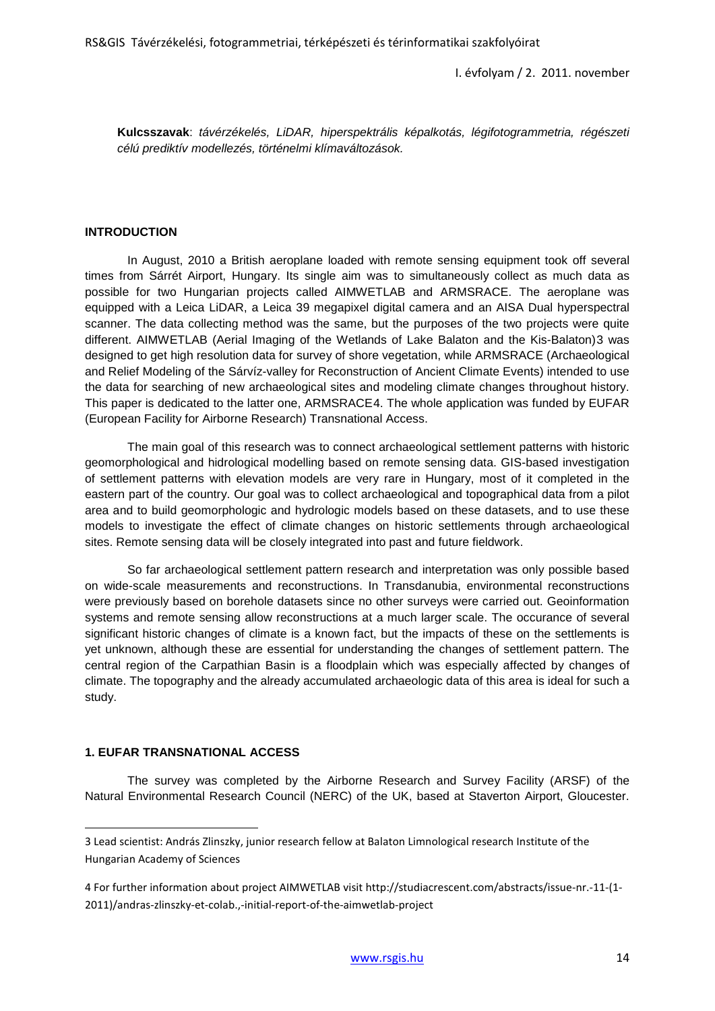**Kulcsszavak**: *távérzékelés, LiDAR, hiperspektrális képalkotás, légifotogrammetria, régészeti célú prediktív modellezés, történelmi klímaváltozások.*

#### **INTRODUCTION**

In August, 2010 a British aeroplane loaded with remote sensing equipment took off several times from Sárrét Airport, Hungary. Its single aim was to simultaneously collect as much data as possible for two Hungarian projects called AIMWETLAB and ARMSRACE. The aeroplane was equipped with a Leica LiDAR, a Leica 39 megapixel digital camera and an AISA Dual hyperspectral scanner. The data collecting method was the same, but the purposes of the two projects were quite different. AIMWETLAB (Aerial Imaging of the Wetlands of Lake Balaton and the Kis-Balaton)[3](#page-0-1) was designed to get high resolution data for survey of shore vegetation, while ARMSRACE (Archaeological and Relief Modeling of the Sárvíz-valley for Reconstruction of Ancient Climate Events) intended to use the data for searching of new archaeological sites and modeling climate changes throughout history. This paper is dedicated to the latter one, ARMSRACE[4.](#page-1-0) The whole application was funded by EUFAR (European Facility for Airborne Research) Transnational Access.

The main goal of this research was to connect archaeological settlement patterns with historic geomorphological and hidrological modelling based on remote sensing data. GIS-based investigation of settlement patterns with elevation models are very rare in Hungary, most of it completed in the eastern part of the country. Our goal was to collect archaeological and topographical data from a pilot area and to build geomorphologic and hydrologic models based on these datasets, and to use these models to investigate the effect of climate changes on historic settlements through archaeological sites. Remote sensing data will be closely integrated into past and future fieldwork.

So far archaeological settlement pattern research and interpretation was only possible based on wide-scale measurements and reconstructions. In Transdanubia, environmental reconstructions were previously based on borehole datasets since no other surveys were carried out. Geoinformation systems and remote sensing allow reconstructions at a much larger scale. The occurance of several significant historic changes of climate is a known fact, but the impacts of these on the settlements is yet unknown, although these are essential for understanding the changes of settlement pattern. The central region of the Carpathian Basin is a floodplain which was especially affected by changes of climate. The topography and the already accumulated archaeologic data of this area is ideal for such a study.

#### **1. EUFAR TRANSNATIONAL ACCESS**

 $\overline{a}$ 

The survey was completed by the Airborne Research and Survey Facility (ARSF) of the Natural Environmental Research Council (NERC) of the UK, based at Staverton Airport, Gloucester.

<span id="page-1-0"></span><sup>3</sup> Lead scientist: András Zlinszky, junior research fellow at Balaton Limnological research Institute of the Hungarian Academy of Sciences

<span id="page-1-1"></span><sup>4</sup> For further information about project AIMWETLAB visit http://studiacrescent.com/abstracts/issue-nr.-11-(1- 2011)/andras-zlinszky-et-colab.,-initial-report-of-the-aimwetlab-project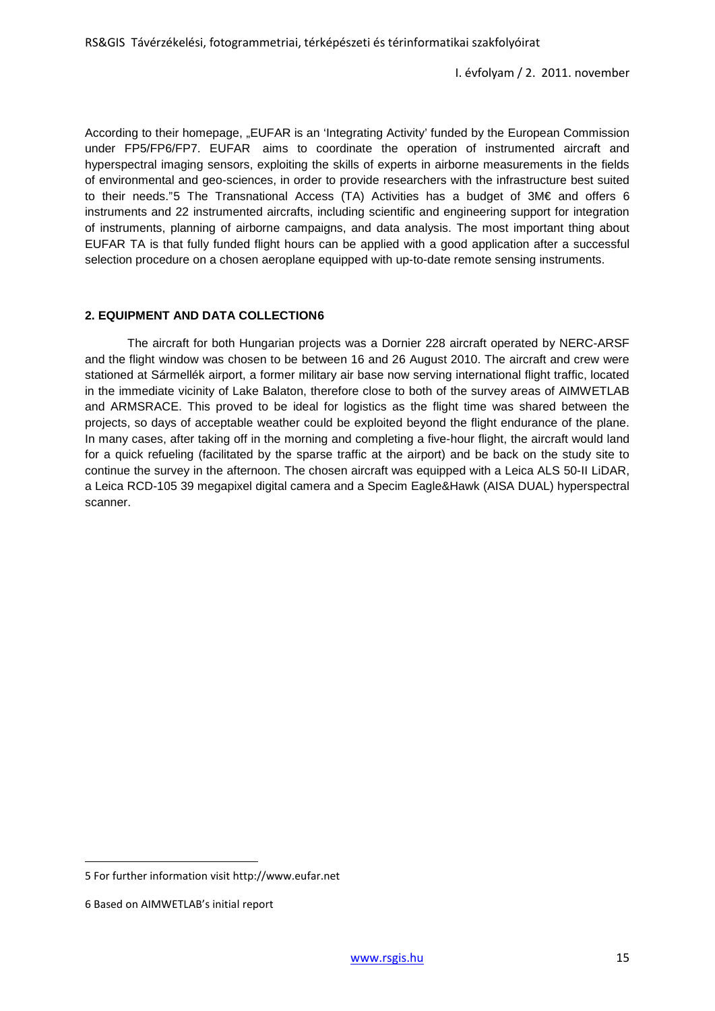According to their homepage, "EUFAR is an 'Integrating Activity' funded by the European Commission under FP5/FP6/FP7. EUFAR aims to coordinate the operation of instrumented aircraft and hyperspectral imaging sensors, exploiting the skills of experts in airborne measurements in the fields of environmental and geo-sciences, in order to provide researchers with the infrastructure best suited to their needs."[5](#page-1-1) The Transnational Access (TA) Activities has a budget of 3M€ and offers 6 instruments and 22 instrumented aircrafts, including scientific and engineering support for integration of instruments, planning of airborne campaigns, and data analysis. The most important thing about EUFAR TA is that fully funded flight hours can be applied with a good application after a successful selection procedure on a chosen aeroplane equipped with up-to-date remote sensing instruments.

### **2. EQUIPMENT AND DATA COLLECTION[6](#page-2-0)**

The aircraft for both Hungarian projects was a Dornier 228 aircraft operated by NERC-ARSF and the flight window was chosen to be between 16 and 26 August 2010. The aircraft and crew were stationed at Sármellék airport, a former military air base now serving international flight traffic, located in the immediate vicinity of Lake Balaton, therefore close to both of the survey areas of AIMWETLAB and ARMSRACE. This proved to be ideal for logistics as the flight time was shared between the projects, so days of acceptable weather could be exploited beyond the flight endurance of the plane. In many cases, after taking off in the morning and completing a five-hour flight, the aircraft would land for a quick refueling (facilitated by the sparse traffic at the airport) and be back on the study site to continue the survey in the afternoon. The chosen aircraft was equipped with a Leica ALS 50-II LiDAR, a Leica RCD-105 39 megapixel digital camera and a Specim Eagle&Hawk (AISA DUAL) hyperspectral scanner.

 $\overline{a}$ 

<span id="page-2-0"></span><sup>5</sup> For further information visit http://www.eufar.net

<sup>6</sup> Based on AIMWETLAB's initial report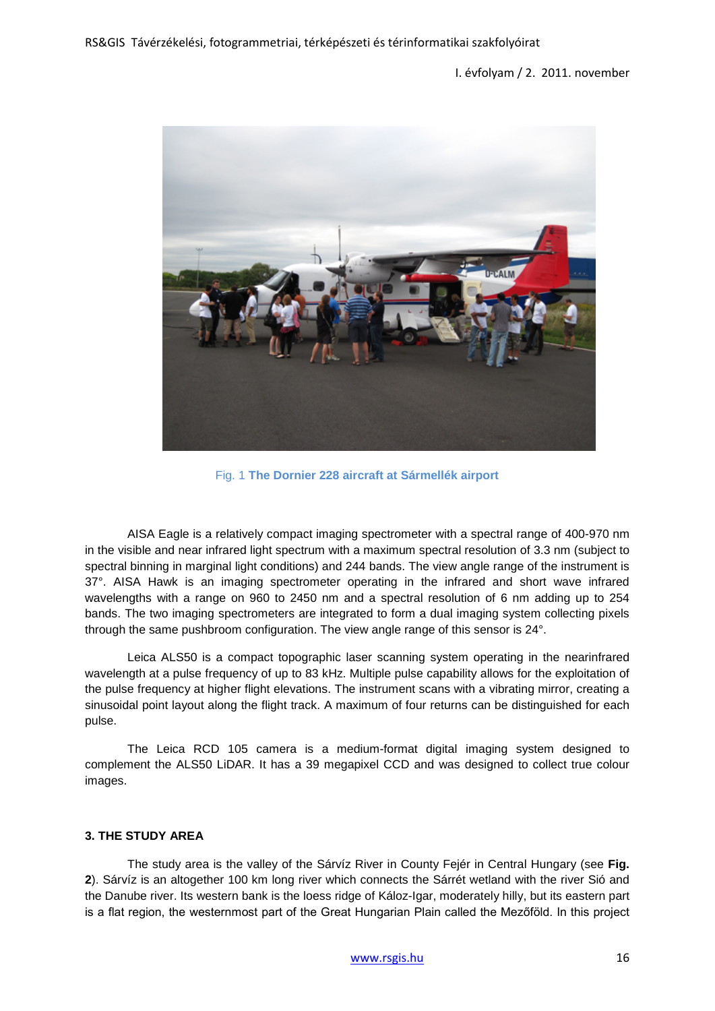

Fig. 1 **The Dornier 228 aircraft at Sármellék airport**

AISA Eagle is a relatively compact imaging spectrometer with a spectral range of 400-970 nm in the visible and near infrared light spectrum with a maximum spectral resolution of 3.3 nm (subject to spectral binning in marginal light conditions) and 244 bands. The view angle range of the instrument is 37°. AISA Hawk is an imaging spectrometer operating in the infrared and short wave infrared wavelengths with a range on 960 to 2450 nm and a spectral resolution of 6 nm adding up to 254 bands. The two imaging spectrometers are integrated to form a dual imaging system collecting pixels through the same pushbroom configuration. The view angle range of this sensor is 24°.

Leica ALS50 is a compact topographic laser scanning system operating in the nearinfrared wavelength at a pulse frequency of up to 83 kHz. Multiple pulse capability allows for the exploitation of the pulse frequency at higher flight elevations. The instrument scans with a vibrating mirror, creating a sinusoidal point layout along the flight track. A maximum of four returns can be distinguished for each pulse.

The Leica RCD 105 camera is a medium-format digital imaging system designed to complement the ALS50 LiDAR. It has a 39 megapixel CCD and was designed to collect true colour images.

### **3. THE STUDY AREA**

The study area is the valley of the Sárvíz River in County Fejér in Central Hungary (see **Fig. 2**). Sárvíz is an altogether 100 km long river which connects the Sárrét wetland with the river Sió and the Danube river. Its western bank is the loess ridge of Káloz-Igar, moderately hilly, but its eastern part is a flat region, the westernmost part of the Great Hungarian Plain called the Mezőföld. In this project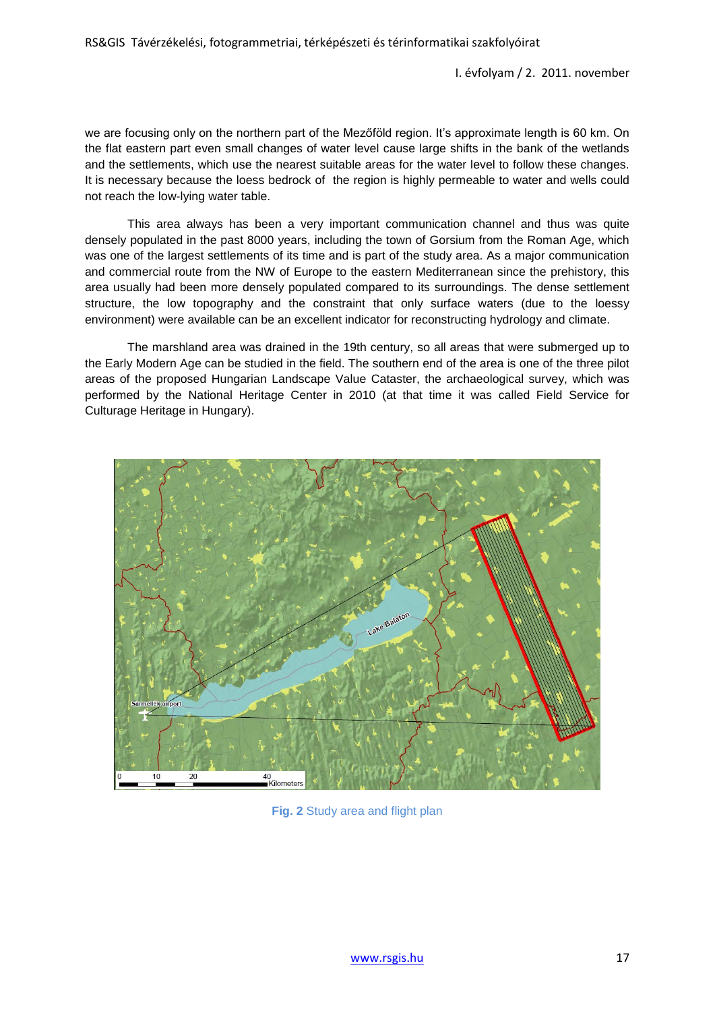we are focusing only on the northern part of the Mezőföld region. It's approximate length is 60 km. On the flat eastern part even small changes of water level cause large shifts in the bank of the wetlands and the settlements, which use the nearest suitable areas for the water level to follow these changes. It is necessary because the loess bedrock of the region is highly permeable to water and wells could not reach the low-lying water table.

This area always has been a very important communication channel and thus was quite densely populated in the past 8000 years, including the town of Gorsium from the Roman Age, which was one of the largest settlements of its time and is part of the study area. As a major communication and commercial route from the NW of Europe to the eastern Mediterranean since the prehistory, this area usually had been more densely populated compared to its surroundings. The dense settlement structure, the low topography and the constraint that only surface waters (due to the loessy environment) were available can be an excellent indicator for reconstructing hydrology and climate.

The marshland area was drained in the 19th century, so all areas that were submerged up to the Early Modern Age can be studied in the field. The southern end of the area is one of the three pilot areas of the proposed Hungarian Landscape Value Cataster, the archaeological survey, which was performed by the National Heritage Center in 2010 (at that time it was called Field Service for Culturage Heritage in Hungary).



**Fig. 2** Study area and flight plan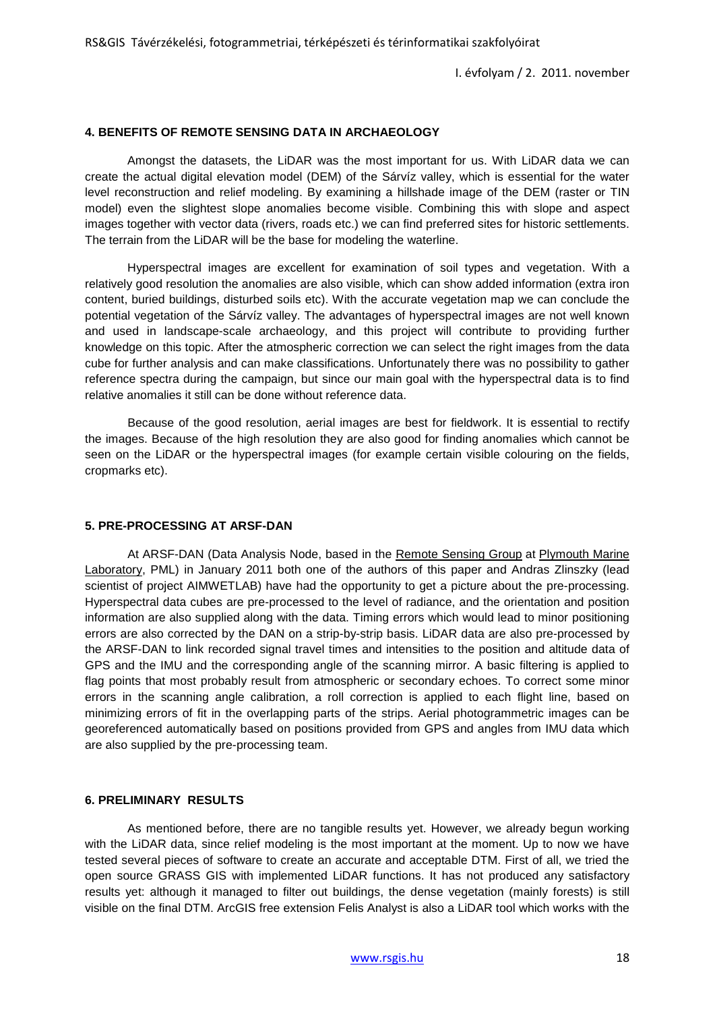#### **4. BENEFITS OF REMOTE SENSING DATA IN ARCHAEOLOGY**

Amongst the datasets, the LiDAR was the most important for us. With LiDAR data we can create the actual digital elevation model (DEM) of the Sárvíz valley, which is essential for the water level reconstruction and relief modeling. By examining a hillshade image of the DEM (raster or TIN model) even the slightest slope anomalies become visible. Combining this with slope and aspect images together with vector data (rivers, roads etc.) we can find preferred sites for historic settlements. The terrain from the LiDAR will be the base for modeling the waterline.

Hyperspectral images are excellent for examination of soil types and vegetation. With a relatively good resolution the anomalies are also visible, which can show added information (extra iron content, buried buildings, disturbed soils etc). With the accurate vegetation map we can conclude the potential vegetation of the Sárvíz valley. The advantages of hyperspectral images are not well known and used in landscape-scale archaeology, and this project will contribute to providing further knowledge on this topic. After the atmospheric correction we can select the right images from the data cube for further analysis and can make classifications. Unfortunately there was no possibility to gather reference spectra during the campaign, but since our main goal with the hyperspectral data is to find relative anomalies it still can be done without reference data.

Because of the good resolution, aerial images are best for fieldwork. It is essential to rectify the images. Because of the high resolution they are also good for finding anomalies which cannot be seen on the LiDAR or the hyperspectral images (for example certain visible colouring on the fields, cropmarks etc).

### **5. PRE-PROCESSING AT ARSF-DAN**

At ARSF-DAN (Data Analysis Node, based in the [Remote Sensing Group](http://www.npm.ac.uk/rsg/) at Plymouth Marine [Laboratory,](http://www.pml.ac.uk/) PML) in January 2011 both one of the authors of this paper and Andras Zlinszky (lead scientist of project AIMWETLAB) have had the opportunity to get a picture about the pre-processing. Hyperspectral data cubes are pre-processed to the level of radiance, and the orientation and position information are also supplied along with the data. Timing errors which would lead to minor positioning errors are also corrected by the DAN on a strip-by-strip basis. LiDAR data are also pre-processed by the ARSF-DAN to link recorded signal travel times and intensities to the position and altitude data of GPS and the IMU and the corresponding angle of the scanning mirror. A basic filtering is applied to flag points that most probably result from atmospheric or secondary echoes. To correct some minor errors in the scanning angle calibration, a roll correction is applied to each flight line, based on minimizing errors of fit in the overlapping parts of the strips. Aerial photogrammetric images can be georeferenced automatically based on positions provided from GPS and angles from IMU data which are also supplied by the pre-processing team.

#### **6. PRELIMINARY RESULTS**

As mentioned before, there are no tangible results yet. However, we already begun working with the LiDAR data, since relief modeling is the most important at the moment. Up to now we have tested several pieces of software to create an accurate and acceptable DTM. First of all, we tried the open source GRASS GIS with implemented LiDAR functions. It has not produced any satisfactory results yet: although it managed to filter out buildings, the dense vegetation (mainly forests) is still visible on the final DTM. ArcGIS free extension Felis Analyst is also a LiDAR tool which works with the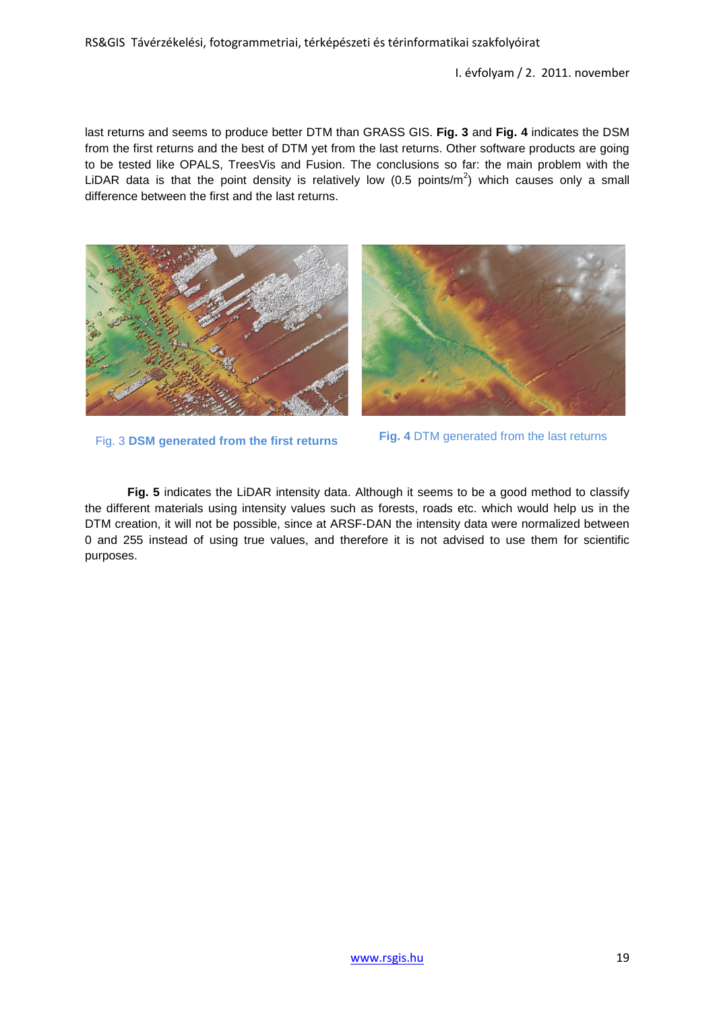last returns and seems to produce better DTM than GRASS GIS. **Fig. 3** and **Fig. 4** indicates the DSM from the first returns and the best of DTM yet from the last returns. Other software products are going to be tested like OPALS, TreesVis and Fusion. The conclusions so far: the main problem with the LiDAR data is that the point density is relatively low (0.5 points/m<sup>2</sup>) which causes only a small difference between the first and the last returns.





Fig. 3 **DSM generated from the first returns Fig. 4** DTM generated from the last returns

**Fig. 5** indicates the LiDAR intensity data. Although it seems to be a good method to classify the different materials using intensity values such as forests, roads etc. which would help us in the DTM creation, it will not be possible, since at ARSF-DAN the intensity data were normalized between 0 and 255 instead of using true values, and therefore it is not advised to use them for scientific purposes.